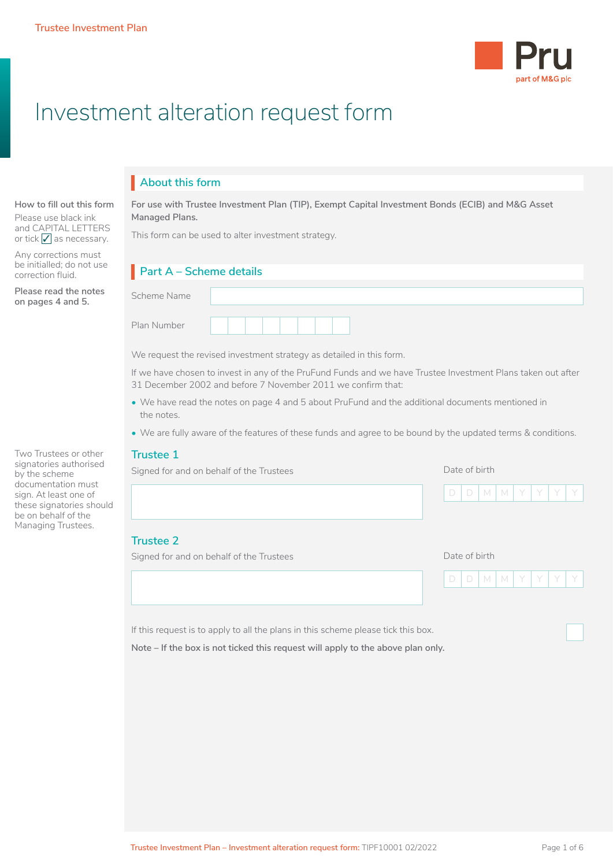

# Investment alteration request form

# **About this form** I

#### **How to fill out this form**

Please use black ink and CAPITAL LETTERS or tick  $\sqrt{\ }$  as necessary.

Any corrections must be initialled; do not use correction fluid.

**Please read the notes on pages 4 and 5.**

Two Trustees or other signatories authorised by the scheme documentation must sign. At least one of these signatories should be on behalf of the Managing Trustees.

**For use with Trustee Investment Plan (TIP), Exempt Capital Investment Bonds (ECIB) and M&G Asset Managed Plans.**

This form can be used to alter investment strategy.

# **Part A – Scheme details** I

We request the revised investment strategy as detailed in this form.

If we have chosen to invest in any of the PruFund Funds and we have Trustee Investment Plans taken out after 31 December 2002 and before 7 November 2011 we confirm that:

- We have read the notes on page 4 and 5 about PruFund and the additional documents mentioned in the notes.
- We are fully aware of the features of these funds and agree to be bound by the updated terms & conditions.

#### **Trustee 1**

|  | Signed for and on behalf of the Trustees |  |
|--|------------------------------------------|--|
|  |                                          |  |

Date of birth

Date of birth



### **Trustee 2**

Signed for and on behalf of the Trustees

|  | IDIMIM | `IYI\ |  |  |
|--|--------|-------|--|--|
|  |        |       |  |  |

If this request is to apply to all the plans in this scheme please tick this box.

**Note – If the box is not ticked this request will apply to the above plan only.**

 $\Box$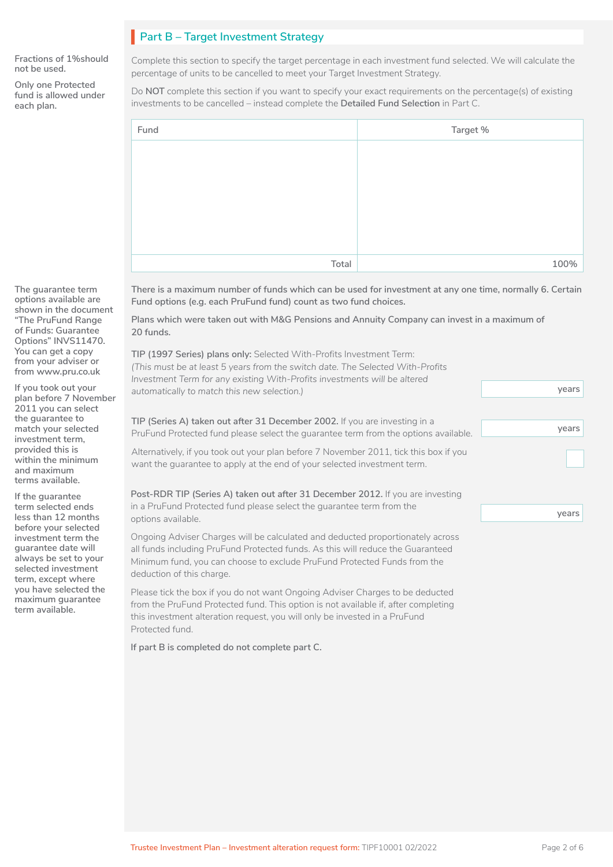# **Part B – Target Investment Strategy**

**Fractions of 1%should not be used.**

**Only one Protected fund is allowed under each plan.**

Complete this section to specify the target percentage in each investment fund selected. We will calculate the percentage of units to be cancelled to meet your Target Investment Strategy.

Do **NOT** complete this section if you want to specify your exact requirements on the percentage(s) of existing investments to be cancelled – instead complete the **Detailed Fund Selection** in Part C.

| Fund  | Target % |
|-------|----------|
|       |          |
|       |          |
|       |          |
|       |          |
|       |          |
|       |          |
| Total | 100%     |

**There is a maximum number of funds which can be used for investment at any one time, normally 6. Certain Fund options (e.g. each PruFund fund) count as two fund choices.** 

**Plans which were taken out with M&G Pensions and Annuity Company can invest in a maximum of 20 funds.**

| TIP (1997 Series) plans only: Selected With-Profits Investment Term:<br>(This must be at least 5 years from the switch date. The Selected With-Profits<br>Investment Term for any existing With-Profits investments will be altered                                        |       |
|----------------------------------------------------------------------------------------------------------------------------------------------------------------------------------------------------------------------------------------------------------------------------|-------|
| automatically to match this new selection.)                                                                                                                                                                                                                                | years |
| TIP (Series A) taken out after 31 December 2002. If you are investing in a<br>PruFund Protected fund please select the quarantee term from the options available.                                                                                                          | years |
| Alternatively, if you took out your plan before 7 November 2011, tick this box if you<br>want the quarantee to apply at the end of your selected investment term.                                                                                                          |       |
| Post-RDR TIP (Series A) taken out after 31 December 2012. If you are investing                                                                                                                                                                                             |       |
| in a PruFund Protected fund please select the guarantee term from the<br>options available.                                                                                                                                                                                | years |
| Ongoing Adviser Charges will be calculated and deducted proportionately across<br>all funds including PruFund Protected funds. As this will reduce the Guaranteed<br>Minimum fund, you can choose to exclude PruFund Protected Funds from the<br>deduction of this charge. |       |

Please tick the box if you do not want Ongoing Adviser Charges to be deducted from the PruFund Protected fund. This option is not available if, after completing this investment alteration request, you will only be invested in a PruFund Protected fund.

**If part B is completed do not complete part C.**

**options available are shown in the document "The PruFund Range of Funds: Guarantee Options" INVS11470. You can get a copy from your adviser or from www.pru.co.uk**

**The guarantee term** 

**If you took out your plan before 7 November 2011 you can select the guarantee to match your selected investment term, provided this is within the minimum and maximum terms available.**

**If the guarantee term selected ends less than 12 months before your selected investment term the guarantee date will always be set to your selected investment term, except where you have selected the maximum guarantee term available.**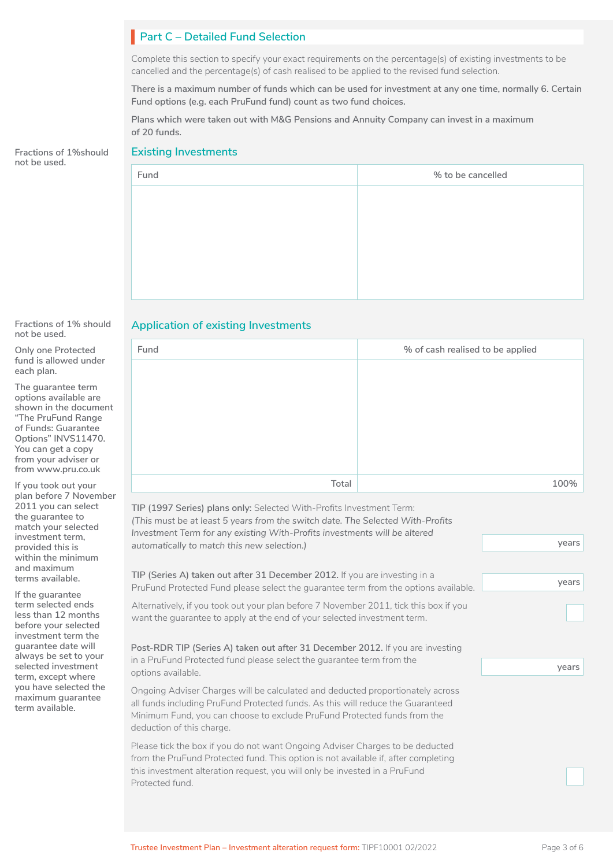# **Part C – Detailed Fund Selection**

Complete this section to specify your exact requirements on the percentage(s) of existing investments to be cancelled and the percentage(s) of cash realised to be applied to the revised fund selection.

**There is a maximum number of funds which can be used for investment at any one time, normally 6. Certain Fund options (e.g. each PruFund fund) count as two fund choices.** 

**Plans which were taken out with M&G Pensions and Annuity Company can invest in a maximum of 20 funds.**

#### **Existing Investments**

| Fund | % to be cancelled |
|------|-------------------|
|      |                   |
|      |                   |
|      |                   |
|      |                   |
|      |                   |
|      |                   |

#### **Fractions of 1% should not be used.**

**Fractions of 1%should** 

**not be used.**

**Only one Protected fund is allowed under each plan.**

**The guarantee term options available are shown in the document "The PruFund Range of Funds: Guarantee Options" INVS11470. You can get a copy from your adviser or from www.pru.co.uk**

**If you took out your plan before 7 November 2011 you can select the guarantee to match your selected investment term, provided this is within the minimum and maximum terms available.**

**If the guarantee term selected ends less than 12 months before your selected investment term the guarantee date will always be set to your selected investment term, except where you have selected the maximum guarantee term available.**

### **Application of existing Investments**

| Fund  | % of cash realised to be applied |  |
|-------|----------------------------------|--|
|       |                                  |  |
|       |                                  |  |
|       |                                  |  |
|       |                                  |  |
|       |                                  |  |
|       |                                  |  |
| Total | 100%                             |  |

**TIP (1997 Series) plans only:** Selected With-Profits Investment Term: *(This must be at least 5 years from the switch date. The Selected With-Profits Investment Term for any existing With-Profits investments will be altered automatically to match this new selection.)*

**TIP (Series A) taken out after 31 December 2012.** If you are investing in a PruFund Protected Fund please select the guarantee term from the options available.

Alternatively, if you took out your plan before 7 November 2011, tick this box if you want the guarantee to apply at the end of your selected investment term.

**Post-RDR TIP (Series A) taken out after 31 December 2012.** If you are investing in a PruFund Protected fund please select the guarantee term from the options available.

Ongoing Adviser Charges will be calculated and deducted proportionately across all funds including PruFund Protected funds. As this will reduce the Guaranteed Minimum Fund, you can choose to exclude PruFund Protected funds from the deduction of this charge.

Please tick the box if you do not want Ongoing Adviser Charges to be deducted from the PruFund Protected fund. This option is not available if, after completing this investment alteration request, you will only be invested in a PruFund Protected fund.

□

**years**

**years**

**years**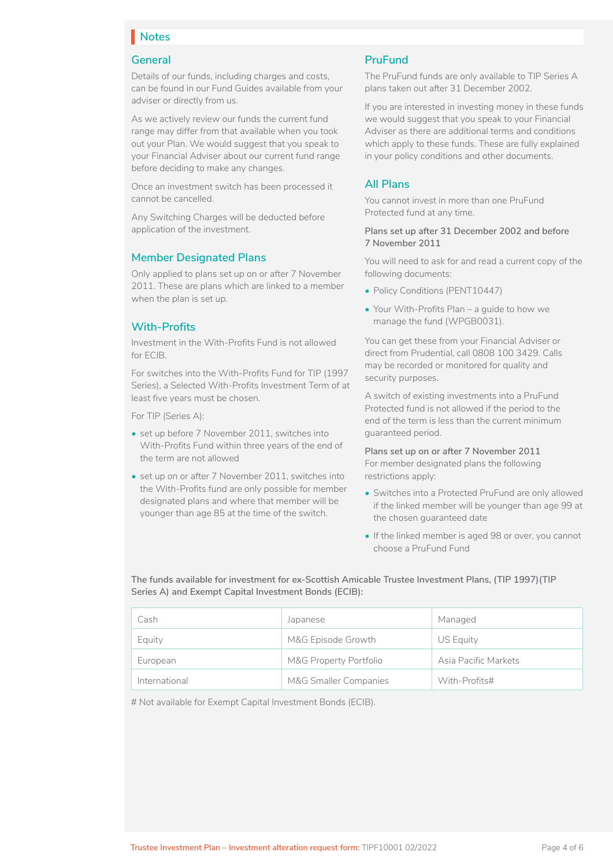# **Notes** I

### **General**

Details of our funds, including charges and costs, can be found in our Fund Guides available from your adviser or directly from us.

As we actively review our funds the current fund range may differ from that available when you took out your Plan. We would suggest that you speak to your Financial Adviser about our current fund range before deciding to make any changes.

Once an investment switch has been processed it cannot be cancelled.

Any Switching Charges will be deducted before application of the investment.

### **Member Designated Plans**

Only applied to plans set up on or after 7 November 2011. These are plans which are linked to a member when the plan is set up.

### **With-Profits**

Investment in the With-Profits Fund is not allowed for ECIB.

For switches into the With-Profits Fund for TIP (1997 Series), a Selected With-Profits Investment Term of at least five years must be chosen.

For TIP (Series A):

- set up before 7 November 2011, switches into With-Profits Fund within three years of the end of the term are not allowed
- set up on or after 7 November 2011, switches into the With-Profits fund are only possible for member designated plans and where that member will be younger than age 85 at the time of the switch.

### **PruFund**

The PruFund funds are only available to TIP Series A plans taken out after 31 December 2002.

If you are interested in investing money in these funds we would suggest that you speak to your Financial Adviser as there are additional terms and conditions which apply to these funds. These are fully explained in your policy conditions and other documents.

### **All Plans**

You cannot invest in more than one PruFund Protected fund at any time.

#### **Plans set up after 31 December 2002 and before 7 November 2011**

You will need to ask for and read a current copy of the following documents:

- Policy Conditions (PENT10447)
- Your With-Profits Plan a guide to how we manage the fund (WPGB0031).

You can get these from your Financial Adviser or direct from Prudential, call 0808 100 3429. Calls may be recorded or monitored for quality and security purposes.

A switch of existing investments into a PruFund Protected fund is not allowed if the period to the end of the term is less than the current minimum guaranteed period.

**Plans set up on or after 7 November 2011**  For member designated plans the following restrictions apply:

- Switches into a Protected PruFund are only allowed if the linked member will be younger than age 99 at the chosen guaranteed date
- If the linked member is aged 98 or over, you cannot choose a PruFund Fund

**The funds available for investment for ex-Scottish Amicable Trustee Investment Plans, (TIP 1997)(TIP Series A) and Exempt Capital Investment Bonds (ECIB):**

| Cash          | Japanese               | Managed              |
|---------------|------------------------|----------------------|
| Equity        | M&G Episode Growth     | US Equity            |
| European      | M&G Property Portfolio | Asia Pacific Markets |
| International | M&G Smaller Companies  | With-Profits#        |

# Not available for Exempt Capital Investment Bonds (ECIB).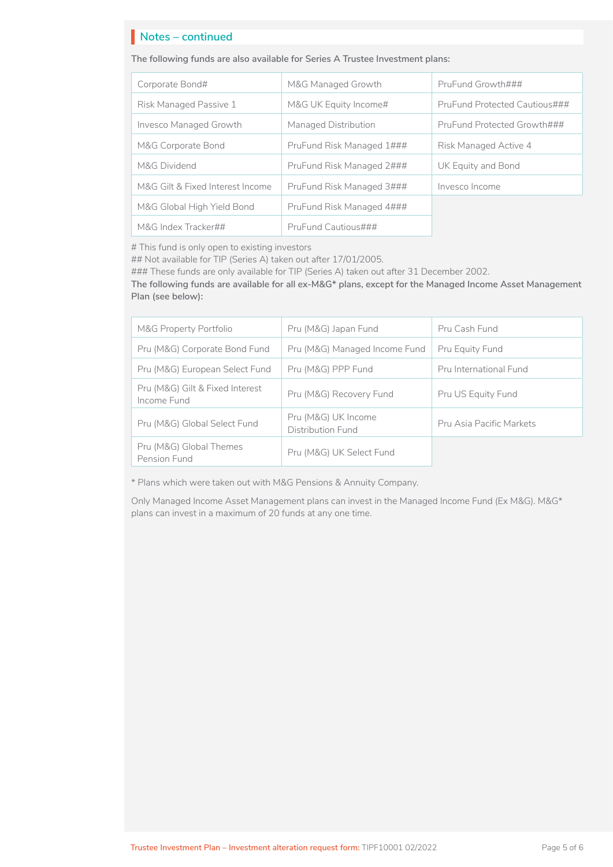# **Notes – continued** I

#### **The following funds are also available for Series A Trustee Investment plans:**

| Corporate Bond#                  | M&G Managed Growth        | PruFund Growth###             |  |
|----------------------------------|---------------------------|-------------------------------|--|
| Risk Managed Passive 1           | M&G UK Equity Income#     | PruFund Protected Cautious### |  |
| <b>Invesco Managed Growth</b>    | Managed Distribution      | PruFund Protected Growth###   |  |
| M&G Corporate Bond               | PruFund Risk Managed 1### | Risk Managed Active 4         |  |
| M&G Dividend                     | PruFund Risk Managed 2### | UK Equity and Bond            |  |
| M&G Gilt & Fixed Interest Income | PruFund Risk Managed 3### | Invesco Income                |  |
| M&G Global High Yield Bond       | PruFund Risk Managed 4### |                               |  |
| M&G Index Tracker##              | PruFund Cautious###       |                               |  |

# This fund is only open to existing investors

## Not available for TIP (Series A) taken out after 17/01/2005.

### These funds are only available for TIP (Series A) taken out after 31 December 2002.

**The following funds are available for all ex-M&G\* plans, except for the Managed Income Asset Management Plan (see below):**

| <b>M&amp;G Property Portfolio</b>              | Pru (M&G) Japan Fund                     | Pru Cash Fund            |
|------------------------------------------------|------------------------------------------|--------------------------|
| Pru (M&G) Corporate Bond Fund                  | Pru (M&G) Managed Income Fund            | Pru Equity Fund          |
| Pru (M&G) European Select Fund                 | Pru (M&G) PPP Fund                       | Pru International Fund   |
| Pru (M&G) Gilt & Fixed Interest<br>Income Fund | Pru (M&G) Recovery Fund                  | Pru US Equity Fund       |
| Pru (M&G) Global Select Fund                   | Pru (M&G) UK Income<br>Distribution Fund | Pru Asia Pacific Markets |
| Pru (M&G) Global Themes<br>Pension Fund        | Pru (M&G) UK Select Fund                 |                          |

\* Plans which were taken out with M&G Pensions & Annuity Company.

Only Managed Income Asset Management plans can invest in the Managed Income Fund (Ex M&G). M&G\* plans can invest in a maximum of 20 funds at any one time.